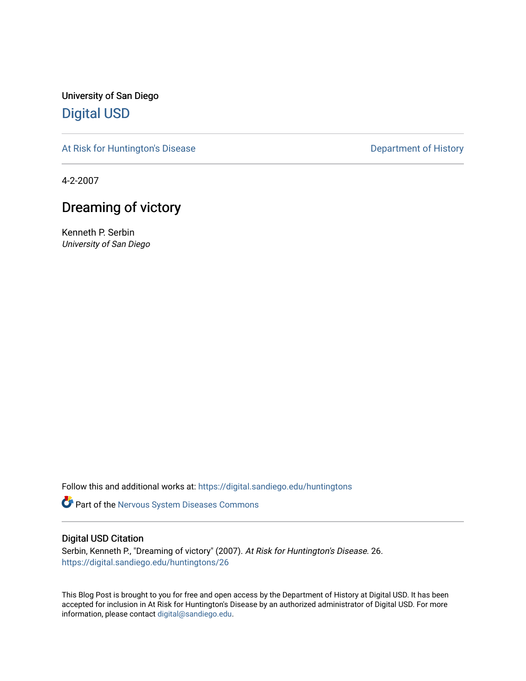University of San Diego [Digital USD](https://digital.sandiego.edu/)

[At Risk for Huntington's Disease](https://digital.sandiego.edu/huntingtons) **Department of History** Department of History

4-2-2007

# Dreaming of victory

Kenneth P. Serbin University of San Diego

Follow this and additional works at: [https://digital.sandiego.edu/huntingtons](https://digital.sandiego.edu/huntingtons?utm_source=digital.sandiego.edu%2Fhuntingtons%2F26&utm_medium=PDF&utm_campaign=PDFCoverPages)

**Part of the [Nervous System Diseases Commons](http://network.bepress.com/hgg/discipline/928?utm_source=digital.sandiego.edu%2Fhuntingtons%2F26&utm_medium=PDF&utm_campaign=PDFCoverPages)** 

# Digital USD Citation

Serbin, Kenneth P., "Dreaming of victory" (2007). At Risk for Huntington's Disease. 26. [https://digital.sandiego.edu/huntingtons/26](https://digital.sandiego.edu/huntingtons/26?utm_source=digital.sandiego.edu%2Fhuntingtons%2F26&utm_medium=PDF&utm_campaign=PDFCoverPages)

This Blog Post is brought to you for free and open access by the Department of History at Digital USD. It has been accepted for inclusion in At Risk for Huntington's Disease by an authorized administrator of Digital USD. For more information, please contact [digital@sandiego.edu.](mailto:digital@sandiego.edu)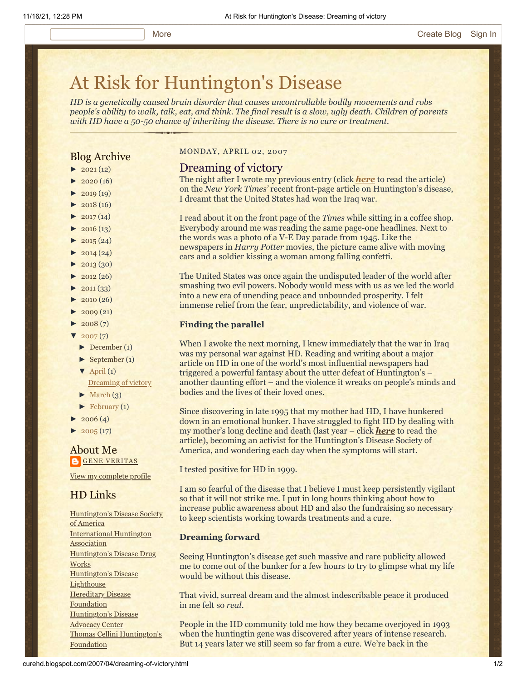# [At Risk for Huntington's Disease](http://curehd.blogspot.com/)

*HD is a genetically caused brain disorder that causes uncontrollable bodily movements and robs people's ability to walk, talk, eat, and think. The final result is a slow, ugly death. Children of parents with HD have a 50-50 chance of inheriting the disease. There is no cure or treatment.*

## Blog Archive

- $\blacktriangleright$  [2021](http://curehd.blogspot.com/2021/)(12)
- $\blacktriangleright$  [2020](http://curehd.blogspot.com/2020/) (16)
- $\blacktriangleright$  [2019](http://curehd.blogspot.com/2019/) (19)
- $\blacktriangleright$  [2018](http://curehd.blogspot.com/2018/) (16)
- $\blacktriangleright$  [2017](http://curehd.blogspot.com/2017/) (14)
- $\blacktriangleright$  [2016](http://curehd.blogspot.com/2016/) (13)
- $\blacktriangleright$  [2015](http://curehd.blogspot.com/2015/) (24)
- $\blacktriangleright$  [2014](http://curehd.blogspot.com/2014/) (24)
- $\blacktriangleright$  [2013](http://curehd.blogspot.com/2013/) (30)
- $\blacktriangleright$  [2012](http://curehd.blogspot.com/2012/) (26)
- $\blacktriangleright$  [2011](http://curehd.blogspot.com/2011/) (33)
- $\blacktriangleright$  [2010](http://curehd.blogspot.com/2010/) (26)
- $\blacktriangleright$  [2009](http://curehd.blogspot.com/2009/) (21)
- $\blacktriangleright$  [2008](http://curehd.blogspot.com/2008/) $(7)$
- $\sqrt{2007(7)}$  $\sqrt{2007(7)}$  $\sqrt{2007(7)}$
- [►](javascript:void(0)) [December](http://curehd.blogspot.com/2007/12/) (1)
- [►](javascript:void(0)) [September](http://curehd.blogspot.com/2007/09/) (1)
- $\nabla$  [April](http://curehd.blogspot.com/2007/04/) (1)
- [Dreaming](http://curehd.blogspot.com/2007/04/dreaming-of-victory.html) of victory
- $\blacktriangleright$  [March](http://curehd.blogspot.com/2007/03/)  $(3)$
- [►](javascript:void(0)) [February](http://curehd.blogspot.com/2007/02/) (1)
- $2006(4)$  $2006(4)$
- $\blacktriangleright$  [2005](http://curehd.blogspot.com/2005/) (17)

#### About Me **GENE [VERITAS](https://www.blogger.com/profile/10911736205741688185)**

View my [complete](https://www.blogger.com/profile/10911736205741688185) profile

# HD Links

[Huntington's](http://www.hdsa.org/) Disease Society of America [International](http://www.huntington-assoc.com/) Huntington **Association** [Huntington's](http://hddrugworks.org/) Disease Drug **Works** [Huntington's](http://www.hdlighthouse.org/) Disease **Lighthouse Hereditary Disease [Foundation](http://www.hdfoundation.org/)** [Huntington's](http://www.hdac.org/) Disease Advocacy Center Thomas [Cellini Huntington's](http://www.ourtchfoundation.org/) Foundation

#### MONDAY, APRIL 02, 2007

#### Dreaming of victory

The night after I wrote my previous entry (click *[here](http://curehd.blogspot.com/2007/03/huntingtons-makes-page-one.html)* to read the article) on the *New York Times'* recent front-page article on Huntington's disease, I dreamt that the United States had won the Iraq war.

I read about it on the front page of the *Times* while sitting in a coffee shop. Everybody around me was reading the same page-one headlines. Next to the words was a photo of a V-E Day parade from 1945. Like the newspapers in *Harry Potter* movies, the picture came alive with moving cars and a soldier kissing a woman among falling confetti.

The United States was once again the undisputed leader of the world after smashing two evil powers. Nobody would mess with us as we led the world into a new era of unending peace and unbounded prosperity. I felt immense relief from the fear, unpredictability, and violence of war.

#### **Finding the parallel**

When I awoke the next morning, I knew immediately that the war in Iraq was my personal war against HD. Reading and writing about a major article on HD in one of the world's most influential newspapers had triggered a powerful fantasy about the utter defeat of Huntington's – another daunting effort – and the violence it wreaks on people's minds and bodies and the lives of their loved ones.

Since discovering in late 1995 that my mother had HD, I have hunkered down in an emotional bunker. I have struggled to fight HD by dealing with my mother's long decline and death (last year – click *[here](http://curehd.blogspot.com/2006/10/mourning-mom.html)* to read the article), becoming an activist for the Huntington's Disease Society of America, and wondering each day when the symptoms will start.

I tested positive for HD in 1999.

I am so fearful of the disease that I believe I must keep persistently vigilant so that it will not strike me. I put in long hours thinking about how to increase public awareness about HD and also the fundraising so necessary to keep scientists working towards treatments and a cure.

#### **Dreaming forward**

Seeing Huntington's disease get such massive and rare publicity allowed me to come out of the bunker for a few hours to try to glimpse what my life would be without this disease.

That vivid, surreal dream and the almost indescribable peace it produced in me felt so *real*.

People in the HD community told me how they became overjoyed in 1993 when the huntingtin gene was discovered after years of intense research. But 14 years later we still seem so far from a cure. We're back in the